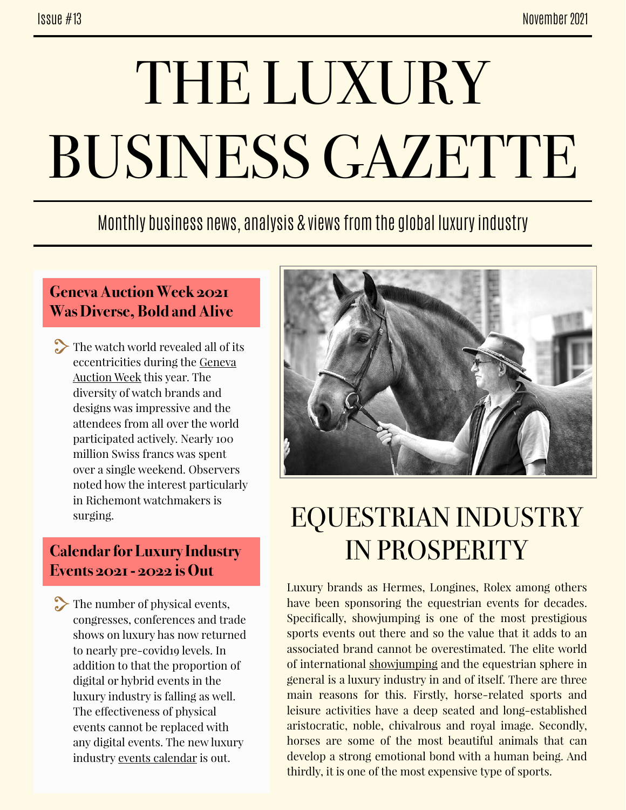# THE LUXURY BUSINESS GAZETTE

### Monthly business news, analysis & views from the global luxury industry

#### **Geneva Auction Week 2021 Was Diverse, Bold and Alive**

The watch world revealed all of its eccentricities during the [Geneva](https://www.hodinkee.com/articles/geneva-auction-week-2021-recap)  [Auction Week](https://www.hodinkee.com/articles/geneva-auction-week-2021-recap) this year. The diversity of watch brands and designs was impressive and the attendees from all over the world participated actively. Nearly 100 million Swiss francs was spent over a single weekend. Observers noted how the interest particularly in Richemont watchmakers is surging.

#### **Calendar for Luxury Industry Events 2021 - 2022 is Out**

The number of physical events, congresses, conferences and trade shows on luxury has now returned to nearly pre-covid19 levels. In addition to that the proportion of digital or hybrid events in the luxury industry is falling as well. The effectiveness of physical events cannot be replaced with any digital events. The new luxury industry [events calendar](http://www.thebridgetoluxury.com/wp-content/uploads/2021/06/TBTL-List-Luxury-Events-202122-06062021.pdf) is out.



## EQUESTRIAN INDUSTRY IN PROSPERITY

Luxury brands as Hermes, Longines, Rolex among others have been sponsoring the equestrian events for decades. Specifically, showjumping is one of the most prestigious sports events out there and so the value that it adds to an associated brand cannot be overestimated. The elite world of international [showjumping](https://www.ft.com/content/f64c4752-556d-4c36-8a7b-539c25db4550) and the equestrian sphere in general is a luxury industry in and of itself. There are three main reasons for this. Firstly, horse-related sports and leisure activities have a deep seated and long-established aristocratic, noble, chivalrous and royal image. Secondly, horses are some of the most beautiful animals that can develop a strong emotional bond with a human being. And thirdly, it is one of the most expensive type of sports.